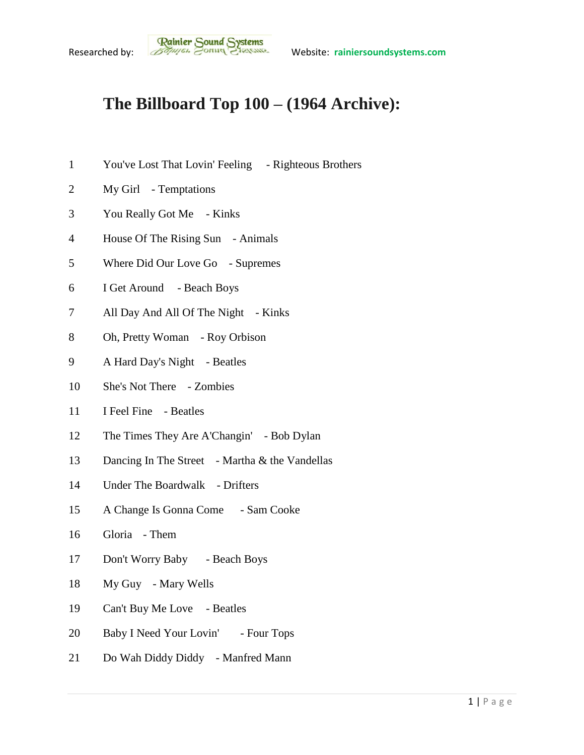## **The Billboard Top 100 – (1964 Archive):**

- You've Lost That Lovin' Feeling Righteous Brothers
- My Girl Temptations
- You Really Got Me Kinks
- House Of The Rising Sun Animals
- Where Did Our Love Go Supremes
- I Get Around Beach Boys
- 7 All Day And All Of The Night Kinks
- Oh, Pretty Woman Roy Orbison
- A Hard Day's Night Beatles
- She's Not There Zombies
- I Feel Fine Beatles
- The Times They Are A'Changin' Bob Dylan
- 13 Dancing In The Street Martha & the Vandellas
- Under The Boardwalk Drifters
- A Change Is Gonna Come Sam Cooke
- Gloria Them
- Don't Worry Baby Beach Boys
- My Guy Mary Wells
- Can't Buy Me Love Beatles
- 20 Baby I Need Your Lovin' Four Tops
- Do Wah Diddy Diddy Manfred Mann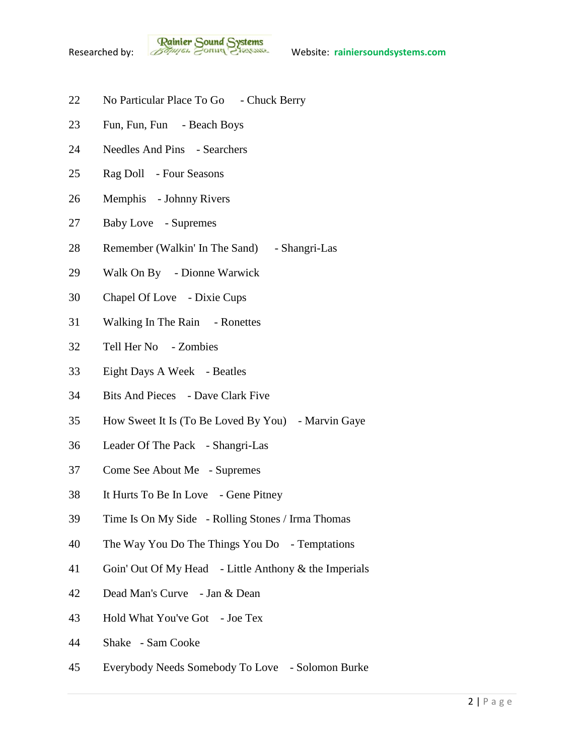

- 22 No Particular Place To Go Chuck Berry
- Fun, Fun, Fun Beach Boys
- Needles And Pins Searchers
- Rag Doll Four Seasons
- Memphis Johnny Rivers
- Baby Love Supremes
- Remember (Walkin' In The Sand) Shangri-Las
- Walk On By Dionne Warwick
- Chapel Of Love Dixie Cups
- Walking In The Rain Ronettes
- Tell Her No Zombies
- Eight Days A Week Beatles
- Bits And Pieces Dave Clark Five
- How Sweet It Is (To Be Loved By You) Marvin Gaye
- Leader Of The Pack Shangri-Las
- Come See About Me Supremes
- It Hurts To Be In Love Gene Pitney
- Time Is On My Side Rolling Stones / Irma Thomas
- The Way You Do The Things You Do Temptations
- Goin' Out Of My Head Little Anthony & the Imperials
- Dead Man's Curve Jan & Dean
- Hold What You've Got Joe Tex
- Shake Sam Cooke
- Everybody Needs Somebody To Love Solomon Burke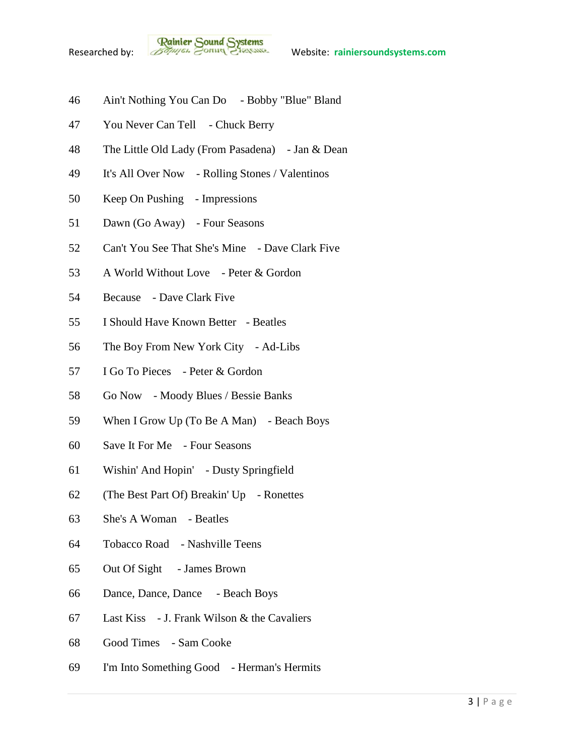

- Ain't Nothing You Can Do Bobby "Blue" Bland
- 47 You Never Can Tell Chuck Berry
- The Little Old Lady (From Pasadena) Jan & Dean
- It's All Over Now Rolling Stones / Valentinos
- Keep On Pushing Impressions
- Dawn (Go Away) Four Seasons
- Can't You See That She's Mine Dave Clark Five
- A World Without Love Peter & Gordon
- Because Dave Clark Five
- I Should Have Known Better Beatles
- The Boy From New York City Ad-Libs
- I Go To Pieces Peter & Gordon
- Go Now Moody Blues / Bessie Banks
- When I Grow Up (To Be A Man) Beach Boys
- Save It For Me Four Seasons
- Wishin' And Hopin' Dusty Springfield
- (The Best Part Of) Breakin' Up Ronettes
- She's A Woman Beatles
- Tobacco Road Nashville Teens
- Out Of Sight James Brown
- Dance, Dance, Dance Beach Boys
- Last Kiss J. Frank Wilson & the Cavaliers
- Good Times Sam Cooke
- I'm Into Something Good Herman's Hermits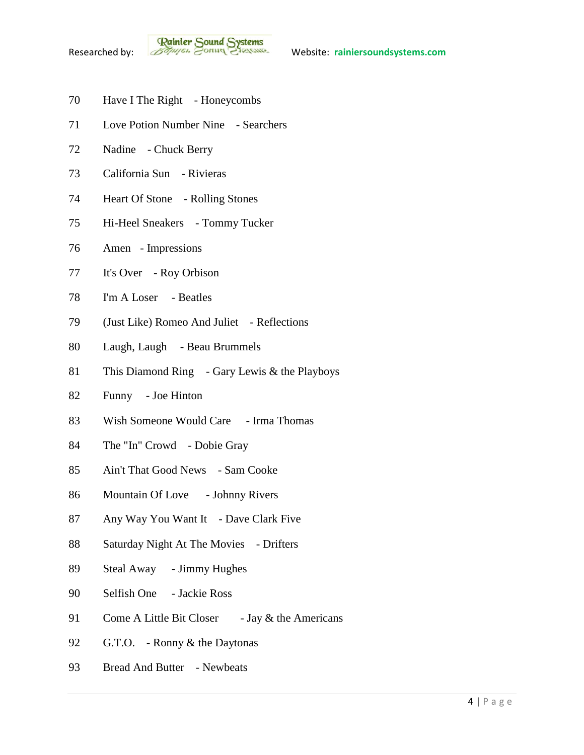- Have I The Right Honeycombs
- Love Potion Number Nine Searchers
- Nadine Chuck Berry
- California Sun Rivieras
- Heart Of Stone Rolling Stones
- Hi-Heel Sneakers Tommy Tucker
- Amen Impressions
- It's Over Roy Orbison
- I'm A Loser Beatles
- (Just Like) Romeo And Juliet Reflections
- Laugh, Laugh Beau Brummels
- This Diamond Ring Gary Lewis & the Playboys
- Funny Joe Hinton
- 83 Wish Someone Would Care Irma Thomas
- The "In" Crowd Dobie Gray
- Ain't That Good News Sam Cooke
- 86 Mountain Of Love Johnny Rivers
- 87 Any Way You Want It Dave Clark Five
- 88 Saturday Night At The Movies Drifters
- Steal Away Jimmy Hughes
- Selfish One Jackie Ross
- 91 Come A Little Bit Closer Jay & the Americans
- G.T.O. Ronny & the Daytonas
- 93 Bread And Butter Newbeats